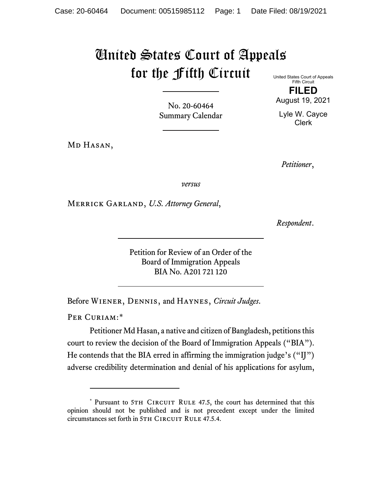## United States Court of Appeals for the Fifth Circuit

United States Court of Appeals Fifth Circuit **FILED**

August 19, 2021

No. 20-60464 Summary Calendar

MD HASAN,

Lyle W. Cayce Clerk

*Petitioner*,

*versus*

Merrick Garland, *U.S. Attorney General*,

*Respondent*.

Petition for Review of an Order of the Board of Immigration Appeals BIA No. A201 721 120

Before Wiener, Dennis, and Haynes, *Circuit Judges*.

PER CURIAM:[\\*](#page-0-0)

Petitioner Md Hasan, a native and citizen of Bangladesh, petitions this court to review the decision of the Board of Immigration Appeals ("BIA"). He contends that the BIA erred in affirming the immigration judge's ("IJ") adverse credibility determination and denial of his applications for asylum,

<span id="page-0-0"></span><sup>\*</sup> Pursuant to 5TH CIRCUIT RULE 47.5, the court has determined that this opinion should not be published and is not precedent except under the limited circumstances set forth in 5TH CIRCUIT RULE 47.5.4.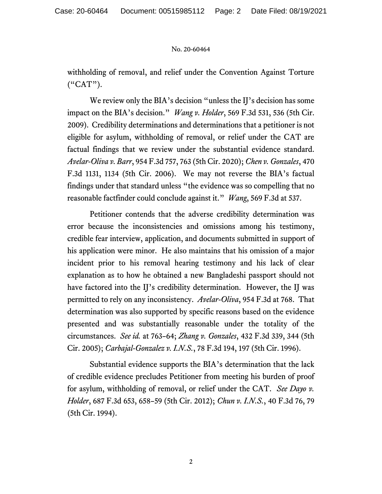## No. 20-60464

withholding of removal, and relief under the Convention Against Torture ("CAT").

We review only the BIA's decision "unless the IJ's decision has some impact on the BIA's decision." *Wang v. Holder*, 569 F.3d 531, 536 (5th Cir. 2009). Credibility determinations and determinations that a petitioner is not eligible for asylum, withholding of removal, or relief under the CAT are factual findings that we review under the substantial evidence standard. *Avelar-Oliva v. Barr*, 954 F.3d 757, 763 (5th Cir. 2020); *Chen v. Gonzales*, 470 F.3d 1131, 1134 (5th Cir. 2006). We may not reverse the BIA's factual findings under that standard unless "the evidence was so compelling that no reasonable factfinder could conclude against it." *Wang*, 569 F.3d at 537.

Petitioner contends that the adverse credibility determination was error because the inconsistencies and omissions among his testimony, credible fear interview, application, and documents submitted in support of his application were minor. He also maintains that his omission of a major incident prior to his removal hearing testimony and his lack of clear explanation as to how he obtained a new Bangladeshi passport should not have factored into the IJ's credibility determination. However, the IJ was permitted to rely on any inconsistency. *Avelar-Oliva*, 954 F.3d at 768. That determination was also supported by specific reasons based on the evidence presented and was substantially reasonable under the totality of the circumstances. *See id.* at 763–64; *Zhang v. Gonzales*, 432 F.3d 339, 344 (5th Cir. 2005); *Carbajal-Gonzalez v. I.N.S.*, 78 F.3d 194, 197 (5th Cir. 1996).

Substantial evidence supports the BIA's determination that the lack of credible evidence precludes Petitioner from meeting his burden of proof for asylum, withholding of removal, or relief under the CAT. *See Dayo v. Holder*, 687 F.3d 653, 658–59 (5th Cir. 2012); *Chun v. I.N.S.*, 40 F.3d 76, 79 (5th Cir. 1994).